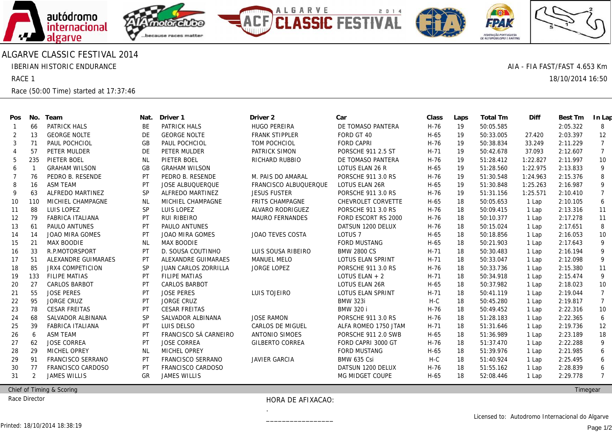

## ALGARVE CLASSIC FESTIVAL 2014

IBERIAN HISTORIC ENDURANCE

RACE 1

Race (50:00 Time) started at 17:37:46

| Pos            | No.            | Team                    | Nat.      | Driver 1                    | Driver 2                | Car                       | Class  | Laps | Total Tm  | Diff     | Best Tm  | In Lap         |
|----------------|----------------|-------------------------|-----------|-----------------------------|-------------------------|---------------------------|--------|------|-----------|----------|----------|----------------|
| -1             | 66             | <b>PATRICK HALS</b>     | BE        | PATRICK HALS                | <b>HUGO PEREIRA</b>     | DE TOMASO PANTERA         | $H-76$ | 19   | 50:05.585 |          | 2:05.322 | 8              |
| 2              | 13             | <b>GEORGE NOLTE</b>     | <b>DE</b> | <b>GEORGE NOLTE</b>         | <b>FRANK STIPPLER</b>   | FORD GT 40                | $H-65$ | 19   | 50:33.005 | 27.420   | 2:03.397 | 12             |
| 3              | 71             | PAUL POCHCIOL           | <b>GB</b> | PAUL POCHCIOL               | TOM POCHCIOL            | <b>FORD CAPRI</b>         | $H-76$ | 19   | 50:38.834 | 33.249   | 2:11.229 | $\overline{7}$ |
| $\overline{4}$ | 57             | PETER MULDER            | DE        | PETER MULDER                | PATRICK SIMON           | <b>PORSCHE 911 2.5 ST</b> | $H-71$ | 19   | 50:42.678 | 37.093   | 2:12.607 | $\overline{7}$ |
| 5              | 235            | PIETER BOEL             | <b>NL</b> | PIETER BOEL                 | RICHARD RUBBIO          | DE TOMASO PANTERA         | $H-76$ | 19   | 51:28.412 | 1:22.827 | 2:11.997 | 10             |
| 6              |                | <b>GRAHAM WILSON</b>    | <b>GB</b> | <b>GRAHAM WILSON</b>        |                         | LOTUS ELAN 26 R           | $H-65$ | 19   | 51:28.560 | 1:22.975 | 2:13.833 | 9              |
| 7              | 76             | PEDRO B. RESENDE        | PT        | PEDRO B. RESENDE            | M. PAIS DO AMARAL       | PORSCHE 911 3.0 RS        | H-76   | 19   | 51:30.548 | 1:24.963 | 2:15.376 | 8              |
| 8              | 16             | <b>ASM TEAM</b>         | PT        | <b>JOSE ALBUQUERQUE</b>     | FRANCISCO ALBUQUERQUE   | <b>LOTUS ELAN 26R</b>     | H-65   | 19   | 51:30.848 | 1:25.263 | 2:16.987 | 9              |
| 9              | 63             | ALFREDO MARTINEZ        | <b>SP</b> | ALFREDO MARTINEZ            | <b>JESUS FUSTER</b>     | PORSCHE 911 3.0 RS        | $H-76$ | 19   | 51:31.156 | 1:25.571 | 2:10.410 | 7              |
| 10             | 110            | MICHIEL CHAMPAGNE       | NL        | MICHIEL CHAMPAGNE           | <b>FRITS CHAMPAGNE</b>  | CHEVROLET CORVETTE        | H-65   | 18   | 50:05.653 | 1 Lap    | 2:10.105 | 6              |
| 11             | 88             | LUIS LOPEZ              | <b>SP</b> | LUIS LOPEZ                  | ALVARO RODRIGUEZ        | <b>PORSCHE 911 3.0 RS</b> | $H-76$ | 18   | 50:09.415 | 1 Lap    | 2:13.316 | 11             |
| 12             | 79             | <b>FABRICA ITALIANA</b> | PT        | RUI RIBEIRO                 | MAURO FERNANDES         | FORD ESCORT RS 2000       | $H-76$ | 18   | 50:10.377 | 1 Lap    | 2:17.278 | 11             |
| 13             | 61             | PAULO ANTUNES           | PT        | PAULO ANTUNES               |                         | DATSUN 1200 DELUX         | $H-76$ | 18   | 50:15.024 | 1 Lap    | 2:17.651 | 8              |
| 14             | 14             | JOAO MIRA GOMES         | PT        | JOAO MIRA GOMES             | JOAO TEVES COSTA        | LOTUS <sub>7</sub>        | $H-65$ | 18   | 50:18.856 | 1 Lap    | 2:16.053 | 10             |
| 15             | 21             | <b>MAX BOODIE</b>       | <b>NL</b> | <b>MAX BOODIE</b>           |                         | <b>FORD MUSTANG</b>       | $H-65$ | 18   | 50:21.903 | 1 Lap    | 2:17.643 | 9              |
| 16             | 33             | R.P.MOTORSPORT          | PT        | D. SOUSA COUTINHO           | LUIS SOUSA RIBEIRO      | <b>BMW 2800 CS</b>        | $H-71$ | 18   | 50:30.483 | 1 Lap    | 2:16.194 | 9              |
| 17             | 51             | ALEXANDRE GUIMARAES     | PT        | ALEXANDRE GUIMARAES         | <b>MANUEL MELO</b>      | <b>LOTUS ELAN SPRINT</b>  | $H-71$ | 18   | 50:33.047 | 1 Lap    | 2:12.098 | 9              |
| 18             | 85             | <b>JRX4 COMPETICION</b> | <b>SP</b> | <b>JUAN CARLOS ZORRILLA</b> | <b>JORGE LOPEZ</b>      | PORSCHE 911 3.0 RS        | $H-76$ | 18   | 50:33.736 | 1 Lap    | 2:15.380 | 11             |
| 19             | 133            | <b>FILIPE MATIAS</b>    | PT        | <b>FILIPE MATIAS</b>        |                         | LOTUS ELAN $+2$           | $H-71$ | 18   | 50:34.918 | 1 Lap    | 2:15.474 | 9              |
| 20             | 27             | <b>CARLOS BARBOT</b>    | PT        | <b>CARLOS BARBOT</b>        |                         | LOTUS ELAN 26R            | H-65   | 18   | 50:37.982 | 1 Lap    | 2:18.023 | 10             |
| 21             | 55             | <b>JOSE PERES</b>       | PT        | <b>JOSE PERES</b>           | LUIS TOJEIRO            | <b>LOTUS ELAN SPRINT</b>  | $H-71$ | 18   | 50:41.119 | 1 Lap    | 2:19.044 | $\overline{7}$ |
| 22             | 95             | <b>JORGE CRUZ</b>       | PT        | <b>JORGE CRUZ</b>           |                         | <b>BMW 323i</b>           | $H-C$  | 18   | 50:45.280 | 1 Lap    | 2:19.817 | $\overline{7}$ |
| 23             | 78             | <b>CESAR FREITAS</b>    | PT        | <b>CESAR FREITAS</b>        |                         | <b>BMW 320 i</b>          | $H-76$ | 18   | 50:49.452 | 1 Lap    | 2:22.316 | 10             |
| 24             | 68             | SALVADOR ALBINANA       | <b>SP</b> | SALVADOR ALBINANA           | <b>JOSE RAMON</b>       | PORSCHE 911 3.0 RS        | $H-76$ | 18   | 51:28.183 | 1 Lap    | 2:22.365 | 6              |
| 25             | 39             | <b>FABRICA ITALIANA</b> | PT        | LUIS DELSO                  | <b>CARLOS DE MIGUEL</b> | ALFA ROMEO 1750 JTAM      | $H-71$ | 18   | 51:31.646 | 1 Lap    | 2:19.736 | 12             |
| 26             | 6              | <b>ASM TEAM</b>         | PT        | FRANCISCO SÁ CARNEIRO       | ANTONIO SIMOES          | PORSCHE 911 2.0 SWB       | $H-65$ | 18   | 51:36.989 | 1 Lap    | 2:23.189 | 18             |
| 27             | 62             | <b>JOSE CORREA</b>      | PT        | <b>JOSE CORREA</b>          | <b>GILBERTO CORREA</b>  | FORD CAPRI 3000 GT        | $H-76$ | 18   | 51:37.470 | 1 Lap    | 2:22.288 | 9              |
| 28             | 29             | <b>MICHEL OPREY</b>     | NL        | <b>MICHEL OPREY</b>         |                         | <b>FORD MUSTANG</b>       | H-65   | 18   | 51:39.976 | 1 Lap    | 2:21.985 | 6              |
| 29             | 91             | FRANCISCO SERRANO       | PT        | FRANCISCO SERRANO           | JAVIER GARCIA           | <b>BMW 635 Csi</b>        | $H-C$  | 18   | 51:40.924 | 1 Lap    | 2:25.495 | 6              |
| 30             | 77             | FRANCISCO CARDOSO       | PT        | FRANCISCO CARDOSO           |                         | DATSUN 1200 DELUX         | $H-76$ | 18   | 51:55.162 | 1 Lap    | 2:28.839 | 6              |
| 31             | $\overline{2}$ | <b>JAMES WILLIS</b>     | <b>GR</b> | <b>JAMES WILLIS</b>         |                         | MG MIDGET COUPE           | $H-65$ | 18   | 52:08.446 | 1 Lap    | 2:29.778 | $\overline{7}$ |
|                |                |                         |           |                             |                         |                           |        |      |           |          |          |                |

Chief of Timing & Scoring

Race Director

HORA DE AFIXACAO:

.\_\_\_\_\_\_\_\_\_\_\_\_\_\_\_\_\_

**Timegear** 

AIA - FIA FAST/FAST 4.653 Km

18/10/2014 16:50